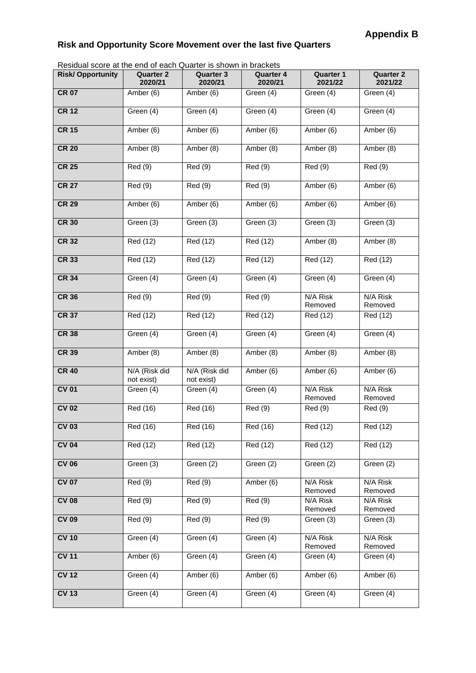## **Risk and Opportunity Score Movement over the last five Quarters**

Residual score at the end of each Quarter is shown in brackets

| Nesidial score at the end of each Quarter is shown in blackets |                             |                             |                             |                             |                             |
|----------------------------------------------------------------|-----------------------------|-----------------------------|-----------------------------|-----------------------------|-----------------------------|
| <b>Risk/Opportunity</b>                                        | <b>Quarter 2</b><br>2020/21 | <b>Quarter 3</b><br>2020/21 | <b>Quarter 4</b><br>2020/21 | <b>Quarter 1</b><br>2021/22 | <b>Quarter 2</b><br>2021/22 |
| <b>CR 07</b>                                                   | Amber (6)                   | Amber (6)                   | Green (4)                   | Green (4)                   | Green (4)                   |
| <b>CR 12</b>                                                   | Green (4)                   | Green (4)                   | Green (4)                   | Green (4)                   | Green (4)                   |
| <b>CR 15</b>                                                   | Amber (6)                   | Amber (6)                   | Amber (6)                   | Amber (6)                   | Amber (6)                   |
| <b>CR 20</b>                                                   | Amber (8)                   | Amber (8)                   | Amber (8)                   | Amber (8)                   | Amber (8)                   |
| <b>CR 25</b>                                                   | <b>Red</b> (9)              | Red (9)                     | Red (9)                     | Red (9)                     | Red (9)                     |
| <b>CR 27</b>                                                   | Red (9)                     | Red (9)                     | Red (9)                     | Amber (6)                   | Amber (6)                   |
| <b>CR 29</b>                                                   | Amber (6)                   | Amber (6)                   | Amber $(6)$                 | Amber (6)                   | Amber (6)                   |
| <b>CR 30</b>                                                   | Green (3)                   | Green (3)                   | Green (3)                   | Green (3)                   | Green (3)                   |
| <b>CR 32</b>                                                   | Red (12)                    | Red (12)                    | Red (12)                    | Amber (8)                   | Amber (8)                   |
| <b>CR 33</b>                                                   | Red (12)                    | Red (12)                    | Red (12)                    | Red (12)                    | Red (12)                    |
| <b>CR 34</b>                                                   | Green (4)                   | Green (4)                   | Green (4)                   | Green (4)                   | Green (4)                   |
| <b>CR 36</b>                                                   | Red (9)                     | Red (9)                     | Red (9)                     | N/A Risk<br>Removed         | N/A Risk<br>Removed         |
| <b>CR 37</b>                                                   | Red (12)                    | Red (12)                    | Red (12)                    | Red (12)                    | Red (12)                    |
| <b>CR 38</b>                                                   | Green (4)                   | Green (4)                   | Green (4)                   | Green (4)                   | Green (4)                   |
| <b>CR 39</b>                                                   | Amber (8)                   | Amber (8)                   | Amber (8)                   | Amber (8)                   | Amber (8)                   |
| <b>CR 40</b>                                                   | N/A (Risk did<br>not exist) | N/A (Risk did<br>not exist) | Amber (6)                   | Amber (6)                   | Amber (6)                   |
| <b>CV 01</b>                                                   | Green (4)                   | Green (4)                   | Green (4)                   | N/A Risk<br>Removed         | N/A Risk<br>Removed         |
| <b>CV 02</b>                                                   | <b>Red</b> (16)             | Red (16)                    | Red (9)                     | Red (9)                     | Red (9)                     |
| <b>CV 03</b>                                                   | Red (16)                    | Red (16)                    | Red (16)                    | Red (12)                    | Red (12)                    |
| <b>CV 04</b>                                                   | Red (12)                    | Red (12)                    | Red (12)                    | Red (12)                    | Red (12)                    |
| <b>CV 06</b>                                                   | Green (3)                   | Green (2)                   | Green (2)                   | Green (2)                   | Green (2)                   |
| <b>CV 07</b>                                                   | Red (9)                     | Red (9)                     | Amber $(6)$                 | N/A Risk<br>Removed         | N/A Risk<br>Removed         |
| <b>CV 08</b>                                                   | Red (9)                     | Red (9)                     | Red(9)                      | N/A Risk<br>Removed         | N/A Risk<br>Removed         |
| <b>CV 09</b>                                                   | Red(9)                      | Red(9)                      | Red (9)                     | Green (3)                   | Green (3)                   |
| <b>CV 10</b>                                                   | Green (4)                   | Green (4)                   | Green (4)                   | N/A Risk<br>Removed         | N/A Risk<br>Removed         |
| <b>CV 11</b>                                                   | Amber(6)                    | Green (4)                   | Green (4)                   | Green (4)                   | Green (4)                   |
| <b>CV 12</b>                                                   | Green (4)                   | Amber (6)                   | Amber (6)                   | Amber (6)                   | Amber (6)                   |
| <b>CV 13</b>                                                   | Green (4)                   | Green (4)                   | Green (4)                   | Green (4)                   | Green (4)                   |